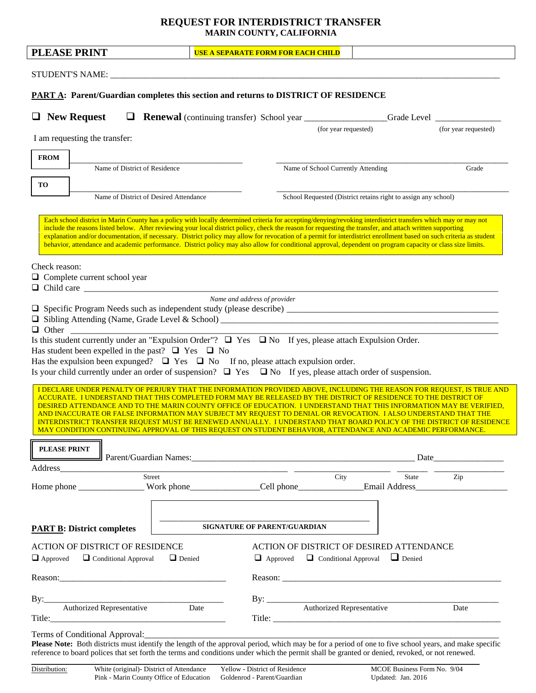## **REQUEST FOR INTERDISTRICT TRANSFER MARIN COUNTY, CALIFORNIA**

| <b>PLEASE PRINT</b>                                                                                                                                                                                                                                                                                                                                                                                                                                                                                                                                                                                                                                                                | <b>USE A SEPARATE FORM FOR EACH CHILD</b> |                                             |  |                      |
|------------------------------------------------------------------------------------------------------------------------------------------------------------------------------------------------------------------------------------------------------------------------------------------------------------------------------------------------------------------------------------------------------------------------------------------------------------------------------------------------------------------------------------------------------------------------------------------------------------------------------------------------------------------------------------|-------------------------------------------|---------------------------------------------|--|----------------------|
|                                                                                                                                                                                                                                                                                                                                                                                                                                                                                                                                                                                                                                                                                    |                                           |                                             |  |                      |
|                                                                                                                                                                                                                                                                                                                                                                                                                                                                                                                                                                                                                                                                                    |                                           |                                             |  |                      |
| <b>PART A: Parent/Guardian completes this section and returns to DISTRICT OF RESIDENCE</b>                                                                                                                                                                                                                                                                                                                                                                                                                                                                                                                                                                                         |                                           |                                             |  |                      |
| $\Box$ New Request                                                                                                                                                                                                                                                                                                                                                                                                                                                                                                                                                                                                                                                                 |                                           |                                             |  |                      |
| I am requesting the transfer:                                                                                                                                                                                                                                                                                                                                                                                                                                                                                                                                                                                                                                                      |                                           | (for year requested)                        |  | (for year requested) |
| <b>FROM</b>                                                                                                                                                                                                                                                                                                                                                                                                                                                                                                                                                                                                                                                                        |                                           |                                             |  |                      |
| Name of District of Residence                                                                                                                                                                                                                                                                                                                                                                                                                                                                                                                                                                                                                                                      |                                           | Name of School Currently Attending<br>Grade |  |                      |
| TO                                                                                                                                                                                                                                                                                                                                                                                                                                                                                                                                                                                                                                                                                 |                                           |                                             |  |                      |
| School Requested (District retains right to assign any school)<br>Name of District of Desired Attendance                                                                                                                                                                                                                                                                                                                                                                                                                                                                                                                                                                           |                                           |                                             |  |                      |
| Each school district in Marin County has a policy with locally determined criteria for accepting/denying/revoking interdistrict transfers which may or may not<br>include the reasons listed below. After reviewing your local district policy, check the reason for requesting the transfer, and attach written supporting<br>explanation and/or documentation, if necessary. District policy may allow for revocation of a permit for interdistrict enrollment based on such criteria as student<br>behavior, attendance and academic performance. District policy may also allow for conditional approval, dependent on program capacity or class size limits.<br>Check reason: |                                           |                                             |  |                      |
| $\Box$ Complete current school year                                                                                                                                                                                                                                                                                                                                                                                                                                                                                                                                                                                                                                                |                                           |                                             |  |                      |
| Is this student currently under an "Expulsion Order"? $\Box$ Yes $\Box$ No If yes, please attach Expulsion Order.<br>Has student been expelled in the past? $\Box$ Yes $\Box$ No<br>Has the expulsion been expunged? $\Box$ Yes $\Box$ No If no, please attach expulsion order.<br>Is your child currently under an order of suspension? $\Box$ Yes $\Box$ No If yes, please attach order of suspension.<br>I DECLARE UNDER PENALTY OF PERJURY THAT THE INFORMATION PROVIDED ABOVE, INCLUDING THE REASON FOR REQUEST, IS TRUE AND<br>ACCURATE. I UNDERSTAND THAT THIS COMPLETED FORM MAY BE RELEASED BY THE DISTRICT OF RESIDENCE TO THE DISTRICT OF                               |                                           |                                             |  |                      |
| DESIRED ATTENDANCE AND TO THE MARIN COUNTY OFFICE OF EDUCATION. I UNDERSTAND THAT THIS INFORMATION MAY BE VERIFIED,<br>AND INACCURATE OR FALSE INFORMATION MAY SUBJECT MY REQUEST TO DENIAL OR REVOCATION. I ALSO UNDERSTAND THAT THE<br>INTERDISTRICT TRANSFER REQUEST MUST BE RENEWED ANNUALLY. I UNDERSTAND THAT BOARD POLICY OF THE DISTRICT OF RESIDENCE<br>MAY CONDITION CONTINUING APPROVAL OF THIS REQUEST ON STUDENT BEHAVIOR, ATTENDANCE AND ACADEMIC PERFORMANCE.                                                                                                                                                                                                       |                                           |                                             |  |                      |
| PLEASE PRINT<br>Date Parent/Guardian Names: New York 2014 (2014)                                                                                                                                                                                                                                                                                                                                                                                                                                                                                                                                                                                                                   |                                           |                                             |  |                      |
| Address Street Street City City State Zip                                                                                                                                                                                                                                                                                                                                                                                                                                                                                                                                                                                                                                          |                                           |                                             |  |                      |
|                                                                                                                                                                                                                                                                                                                                                                                                                                                                                                                                                                                                                                                                                    |                                           |                                             |  |                      |
| <b>SIGNATURE OF PARENT/GUARDIAN</b><br><b>PART B: District completes</b>                                                                                                                                                                                                                                                                                                                                                                                                                                                                                                                                                                                                           |                                           |                                             |  |                      |
| ACTION OF DISTRICT OF RESIDENCE                                                                                                                                                                                                                                                                                                                                                                                                                                                                                                                                                                                                                                                    |                                           | ACTION OF DISTRICT OF DESIRED ATTENDANCE    |  |                      |
| $\Box$ Approved $\Box$ Conditional Approval $\Box$ Denied<br>$\Box$ Approved<br>$\Box$ Conditional Approval<br>$\Box$ Denied                                                                                                                                                                                                                                                                                                                                                                                                                                                                                                                                                       |                                           |                                             |  |                      |
|                                                                                                                                                                                                                                                                                                                                                                                                                                                                                                                                                                                                                                                                                    |                                           |                                             |  |                      |
|                                                                                                                                                                                                                                                                                                                                                                                                                                                                                                                                                                                                                                                                                    |                                           |                                             |  |                      |
| By: Authorized Representative Date                                                                                                                                                                                                                                                                                                                                                                                                                                                                                                                                                                                                                                                 |                                           |                                             |  |                      |
| Terms of Conditional Approval:<br>Please Note: Both districts must identify the length of the approval period, which may be for a period of one to five school years, and make specific<br>reference to board polices that set forth the terms and conditions under which the permit shall be granted or denied, revoked, or not renewed.                                                                                                                                                                                                                                                                                                                                          |                                           |                                             |  |                      |